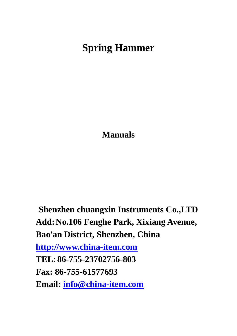# **Spring Hammer**

**Manuals** 

**Shenzhen chuangxin Instruments Co.,LTD Add:No.106 Fenghe Park, Xixiang Avenue, Bao'an District, Shenzhen, China http://www.china-item.com TEL:86-755-23702756-803 Fax: 86-755-61577693 Email: info@china-item.com**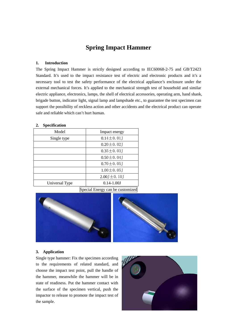# **Spring Impact Hammer**

### **1. Introduction**

The Spring Impact Hammer is strictly designed according to IEC60068-2-75 and GB/T2423 Standard. It's used to the impact resistance test of electric and electronic products and it's a necessary tool to test the safety performance of the electrical appliance's enclosure under the external mechanical forces. It's applied to the mechanical strength test of household and similar electric appliance, electronics, lamps, the shell of electrical accessories, operating arm, hand shank, brigade button, indicator light, signal lamp and lampshade etc., to guarantee the test specimen can support the possibility of reckless action and other accidents and the electrical product can operate safe and reliable which can't hurt human.

| ᅭ                                |                                     |
|----------------------------------|-------------------------------------|
| Model                            | Impact energy                       |
| Single type                      | $0.14 \pm 0.01$                     |
|                                  | $0.20 \pm 0.02$ J                   |
|                                  | $0.35 \pm 0.03$                     |
|                                  | $0.50 \pm 0.04$                     |
|                                  | $0.70 \pm 0.05$ J                   |
|                                  | $1.00 \pm 0.05$ J                   |
|                                  | $2.00 \text{ J} \pm 0.10 \text{ J}$ |
| Universal Type                   | $0.14 - 1.00$ J                     |
| Special Energy can be customized |                                     |

#### **2. Specification**



#### **3. Application**

Single type hammer: Fix the specimen according to the requirements of related standard, and choose the impact test point, pull the handle of the hammer, meanwhile the hammer will be in state of readiness. Put the hammer contact with the surface of the specimen vertical, push the impactor to release to promote the impact test of the sample.